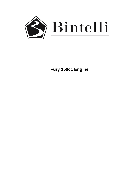

 **Fury 150cc Engine**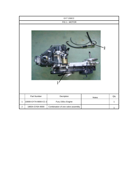| GY7 150CC      |                      |                                   |       |              |  |
|----------------|----------------------|-----------------------------------|-------|--------------|--|
|                | FIG 1 - MOTOR        |                                   |       |              |  |
|                |                      |                                   |       |              |  |
|                | Part Number          | Decription                        | Notes | Qty          |  |
| $\mathbf{1}$   | 10000-GY7A-9000-CC-2 | Fury 150cc Engine                 |       | $\mathbf{1}$ |  |
| $\overline{2}$ | 1865A-GY6A-9000      | Combination of one valve assembly |       | 1            |  |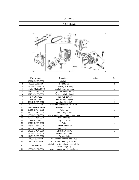| GY7 150CC                     |                  |                                                              |              |                  |  |
|-------------------------------|------------------|--------------------------------------------------------------|--------------|------------------|--|
| FIG 2 - Cylinder              |                  |                                                              |              |                  |  |
|                               |                  |                                                              |              |                  |  |
| 19 20<br>2<br>26 ⊙<br>O<br>25 |                  |                                                              |              |                  |  |
|                               | Part Number      | Description                                                  | <b>Notes</b> | Qty              |  |
| 1                             | 12100-GY7F-9000  | Cylinder                                                     |              | 1                |  |
| $\overline{2}$                | 90001-06022-08   | Bolt M6×22                                                   |              | $\overline{2}$   |  |
| $\ensuremath{\mathsf{3}}$     | 14520-GY6A-9000  | Chain adjuster assy                                          |              | 1                |  |
| 4                             | 14523--GY6A-9000 | Gasket chain adjuster                                        |              | 1                |  |
| $\mathbf 5$                   | 12191-GY7A-9000  | Cylinder pad of paper                                        |              | 1                |  |
| $\,6$                         | 12251-GY6F-9000  | Gasket cylinder head                                         |              | 1                |  |
| $\overline{7}$                | 94310-10160      | Pin dowel 10x16                                              |              | $\overline{4}$   |  |
| $\bf8$                        | 94050-12080      | Nut M12x1.25 (11)                                            |              | $\overline{2}$   |  |
| $\boldsymbol{9}$              | 90440-GY6A-9000  | Washer (12x24x2)                                             |              | $\overline{c}$   |  |
| 10                            | 90201-02212-08   | Lock nut, crankshaft (M22x1x6)                               |              | 1                |  |
| 11                            | 90403--GY6A-9000 | Washer (22x39x2)                                             |              | 1                |  |
| 12                            | 13111-GY6F-9000  | Piston pin                                                   |              | 1                |  |
| 13                            | 13011-GY6F-9000  | Piston ring .comp                                            |              | 1                |  |
| 14                            | 13010-GY6A-9000  | Crank and connecting rod assembly                            |              | 1                |  |
| 15                            | 90701-GY6A-9000  | Woodruff key                                                 |              | $\boldsymbol{2}$ |  |
| 16                            | 94601-15000      | Clip piston pin                                              |              | $\overline{2}$   |  |
| 17                            | 13101-GY6F-9000  | Piston                                                       |              | 1                |  |
| 18                            | 14510-GY6A-9000  | Tension rod chain                                            |              | 1                |  |
| 19                            | 91301-GY6A-9000  | O-rling 15.2×1.5                                             |              | 1                |  |
| 20                            | 14531-GY6A-9000  | Cam chain screw                                              |              | 1                |  |
| 21                            | 14610-GY6A-9000  | Guide comp chain                                             |              | 1                |  |
| 22                            | 14401-GY7A-9000  | Timing chain                                                 |              | 1                |  |
| 23                            | 91002-63220-00   | Crankshaft bearing sco 4A86                                  |              | 1                |  |
| 24                            | 91002-63220-00   | Crankshaft bearing sco 4A86                                  |              | 1                |  |
| 25                            | 1310A-9030       | Cylinder, piston, piston rings, circlip,<br>piston pin group |              | 1                |  |
| 26                            | 13000-GY6A-9000  | Crankshaft connecting-rod assy                               |              | 1                |  |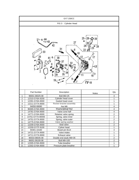| GY7 150CC                 |                  |                         |       |                         |  |
|---------------------------|------------------|-------------------------|-------|-------------------------|--|
| FIG 3 - Cylinder Head     |                  |                         |       |                         |  |
|                           |                  |                         |       |                         |  |
| 13<br>$F_{18}$            |                  |                         |       |                         |  |
|                           | Part Number      | Description             | Notes | Qty                     |  |
| $\mathbf{1}$              | 96001-06025-08   | Bolt M6×25              |       | 4                       |  |
| $\overline{c}$            | 12310-GY6A-9200  | Cylinder head cover     |       | 1                       |  |
| $\ensuremath{\mathsf{3}}$ | 12391-GY6A-9000  | Gasket head cover       |       | 1                       |  |
| $\overline{4}$            | 12211-GY7A-9000  | Rocker bracket assembly |       | 1                       |  |
| $\overline{5}$            | 94050-08080      | Nut M8                  |       | 4                       |  |
| 6                         | 90465-GY6A-9000  | Washerф8xф19x2          |       | 4                       |  |
| $\overline{7}$            | 14781-GY6A-9000  | Valve cone half         |       | $\overline{4}$          |  |
| 8                         | 14771-GY6A-9000  | Retainer valve spring   |       | $\boldsymbol{2}$        |  |
| 9                         | 14761-GY7A-90000 | Spring, valve inner     |       | $\boldsymbol{2}$        |  |
| 10                        | 14751-GY7A-9000  | Spring, valve outer     |       | $\overline{2}$          |  |
| 11                        | 14775-GY6A-9000  | Valve spring washer     |       | 2                       |  |
| 12                        | 12209-GY6A-9000  | Seal valve              |       | $\overline{\mathbf{c}}$ |  |
| 13                        | 12200-GY7F-9100  | Cyliner head            |       | 1                       |  |
| 14                        | 94301-10160      | Bowel pin 8x14          |       | 4                       |  |
| 16                        | 14721-GY7A-9000  | Valve intake            |       | 1                       |  |
| 17                        | 14711-GY7A-9000  | Exhaust valve           |       | $\mathbf 1$             |  |
| 18                        | 90033-08035-08   | Double end studs M8x35  |       | $\boldsymbol{2}$        |  |
| 19                        | 96001-06100-08   | Bolt M6×100             |       | $\overline{c}$          |  |
| $20\,$                    | 12305-GY6A-9000  | Tube breather           |       | $\mathbf{1}$            |  |
| 21                        | 12302-GY6A-9000  | Pressure plate breather |       | $\mathbf{1}$            |  |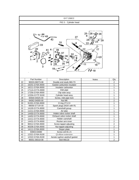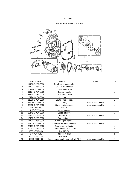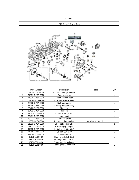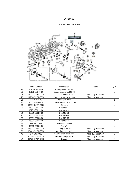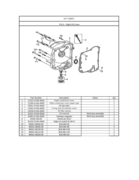| GY7 150CC                 |                 |                                 |                   |                  |  |
|---------------------------|-----------------|---------------------------------|-------------------|------------------|--|
| FIG 6 - Right Oil Cover   |                 |                                 |                   |                  |  |
|                           |                 |                                 |                   |                  |  |
|                           | Part Number     | Description                     | Notes             | Qty              |  |
| 1                         | 11331-GY6A-9000 | Right crankcase cover           |                   | 1                |  |
| $\overline{c}$            | 11394-GY6A-9000 | Right crankcase cover paper pad |                   | 1                |  |
| $\ensuremath{\mathsf{3}}$ | 15651-GY6A-9000 | Oil Dip Stick                   |                   | 1                |  |
| $\overline{\mathbf{4}}$   | 12361-GY6A-9000 | O-ring and oil network cover    |                   | 1                |  |
| $\mathbf 5$               | 15426-GY6A-9000 | Oil filter spring               |                   | 1                |  |
| 6                         | 15421-GY6A-9000 | Oil network                     | Must buy assembly | 1                |  |
| $\overline{7}$            | 32961-GY6A-9000 | Clamper magneto                 | Must buy assembly | 1                |  |
| $\,8\,$                   | 94301-08140     | Dowel pin 8x14                  |                   | $\boldsymbol{2}$ |  |
| $\boldsymbol{9}$          | 91203-GY6A-9000 | Right oil seal19.8x30x5         |                   | 1                |  |
| 10                        | 90001-06040-08  | Bolt M6×40                      |                   | 1                |  |
| 11                        | 96001-06095-08  | Bolt M6×95                      |                   | 4                |  |
| 12                        | 96001-06100-08  | Bolt M6×100                     |                   | $\mathbf{1}$     |  |
| 13                        | 96001-06110-08  | Bolt M6×110                     |                   | $\overline{c}$   |  |
| 14                        | 96001-06028-08  | Bolt M6×28                      |                   | $\mathbf{1}$     |  |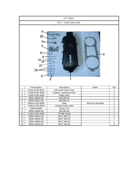| GY7 150CC               |                                                    |                                  |                   |                |  |
|-------------------------|----------------------------------------------------|----------------------------------|-------------------|----------------|--|
|                         | FIG 7 - Crank Case Cover                           |                                  |                   |                |  |
|                         | 6<br>10<br>8<br>9<br>$11\overline{12}$<br>13<br>14 |                                  | 2                 |                |  |
|                         | Part Number                                        | Description                      | <b>Notes</b>      | Qty            |  |
| 1                       | 11341-GY6C-9010                                    | Left Crank Case Cover            |                   | 1              |  |
| $\boldsymbol{2}$        | 11395-GY6F-9000                                    | Gasket r crankcase cover         |                   | 1              |  |
| $\mathsf 3$             | 11380-GY6A-9000                                    | Platel cover                     |                   | 1              |  |
| $\overline{\mathbf{4}}$ | 90001-06040-08                                     | Bolt M6×40                       |                   | $\overline{c}$ |  |
| 5                       | 96001-06012-08<br>50504-GY6A-9000                  | Bolt M6×12<br>Plate              |                   | 1<br>1         |  |
| 6<br>$\overline{7}$     | 11382-GY6A-9000                                    |                                  | Must buy assembly | $\mathbf{1}$   |  |
| 8                       | 93903-04080                                        | Clamper brake cable<br>Screw 4x8 |                   | $\overline{4}$ |  |
| $\boldsymbol{9}$        | 90001-06065-08                                     | Bolt M6×65                       |                   | 1              |  |
| 10                      | 11381-GY6A-9000                                    | Throttle clamp                   |                   | 1              |  |
| 11                      | 90001-06070-08                                     | BOLT M6×70                       |                   | 1              |  |
| 12                      | 90001-06055-08                                     | BOLT M6×55                       |                   | 1              |  |
| 13                      | 90001-06050-08                                     | BOLT M6×50                       |                   | 1              |  |
| 14                      | 90001-06040-45                                     | BOLT M6×45                       |                   | $\overline{4}$ |  |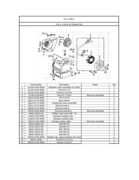